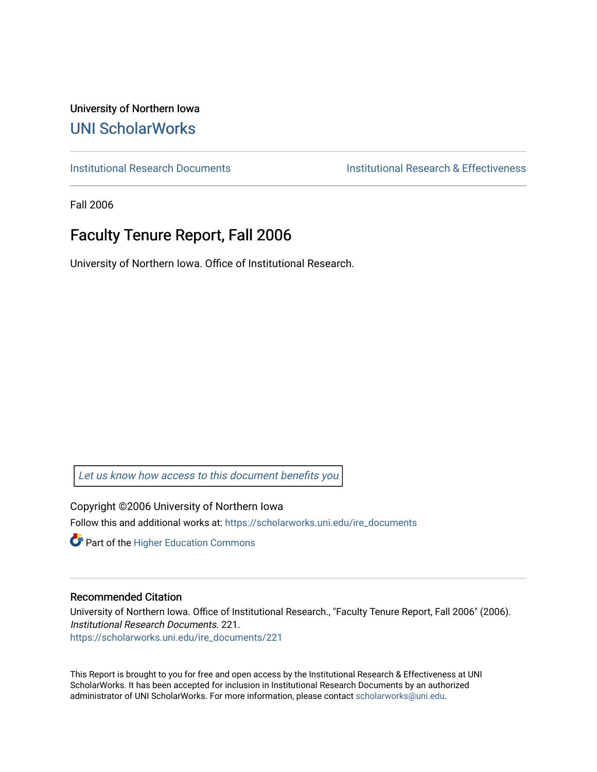University of Northern Iowa [UNI ScholarWorks](https://scholarworks.uni.edu/) 

[Institutional Research Documents](https://scholarworks.uni.edu/ire_documents) [Institutional Research & Effectiveness](https://scholarworks.uni.edu/ire) 

Fall 2006

# Faculty Tenure Report, Fall 2006

University of Northern Iowa. Office of Institutional Research.

[Let us know how access to this document benefits you](https://scholarworks.uni.edu/feedback_form.html) 

Copyright ©2006 University of Northern Iowa Follow this and additional works at: [https://scholarworks.uni.edu/ire\\_documents](https://scholarworks.uni.edu/ire_documents?utm_source=scholarworks.uni.edu%2Fire_documents%2F221&utm_medium=PDF&utm_campaign=PDFCoverPages) 

**Part of the Higher Education Commons** 

#### Recommended Citation

University of Northern Iowa. Office of Institutional Research., "Faculty Tenure Report, Fall 2006" (2006). Institutional Research Documents. 221. [https://scholarworks.uni.edu/ire\\_documents/221](https://scholarworks.uni.edu/ire_documents/221?utm_source=scholarworks.uni.edu%2Fire_documents%2F221&utm_medium=PDF&utm_campaign=PDFCoverPages) 

This Report is brought to you for free and open access by the Institutional Research & Effectiveness at UNI ScholarWorks. It has been accepted for inclusion in Institutional Research Documents by an authorized administrator of UNI ScholarWorks. For more information, please contact [scholarworks@uni.edu](mailto:scholarworks@uni.edu).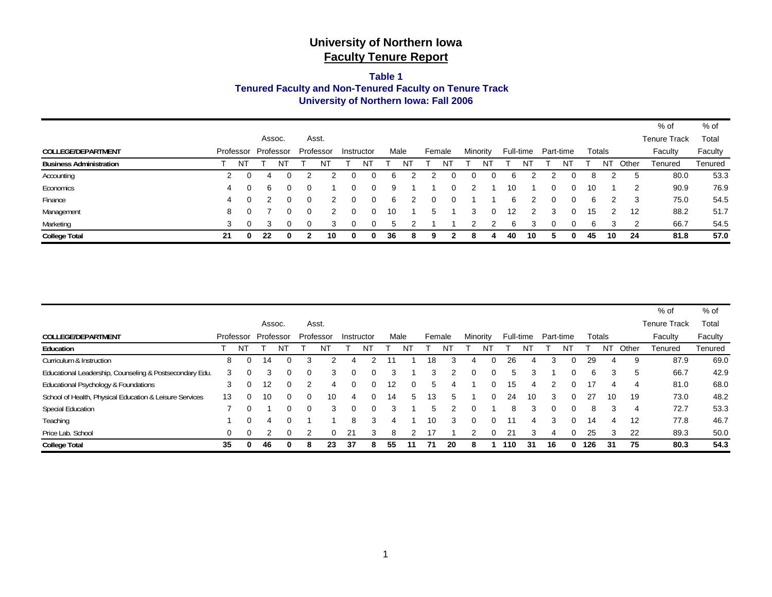#### **Tenured Faculty and Non-Tenured Faculty on Tenure Track Table 1University of Northern Iowa: Fall 2006**

|                                |           |    |    |           |   |           |            |      |   |        |   |          |   |    |           |           |    |        |    |       | % of                | % of    |
|--------------------------------|-----------|----|----|-----------|---|-----------|------------|------|---|--------|---|----------|---|----|-----------|-----------|----|--------|----|-------|---------------------|---------|
|                                |           |    |    | Assoc.    |   | Asst.     |            |      |   |        |   |          |   |    |           |           |    |        |    |       | <b>Tenure Track</b> | Total   |
| COLLEGE/DEPARTMENT             | Professor |    |    | Professor |   | Professor | Instructor | Male |   | Female |   | Minority |   |    | Full-time | Part-time |    | Totals |    |       | Faculty             | Faculty |
| <b>Business Administration</b> |           | ΝT |    |           |   |           | רוא        |      |   |        | N |          |   |    |           |           | N. |        | NΤ | Other | Tenured             | Tenured |
| Accounting                     | 2         | 0  | 4  | 0         |   |           |            | 6    |   |        |   |          |   | ĸ  |           |           |    | 8      |    | 5     | 80.0                | 53.3    |
| Economics                      | 4         | 0  | 6  | 0         | 0 |           | 0          | 9    |   |        |   |          |   | 10 |           | 0         |    | 10     |    | 2     | 90.9                | 76.9    |
| Finance                        | 4         | 0  |    |           | 0 |           | 0          | 6    |   |        |   |          |   | ิค |           |           |    | 6      | 2  | -3    | 75.0                | 54.5    |
| Management                     | 8         | 0  |    |           | 0 |           | 0          | 10   |   | 5      |   | 3        | 0 | 12 | 2         | 3         |    | 15     |    | 12    | 88.2                | 51.7    |
| Marketing                      | 3         | 0  |    |           | 0 |           |            | ٠h   |   |        |   |          |   | ี  |           |           |    | 6      | 3  | っ     | 66.7                | 54.5    |
| <b>College Total</b>           | 21        | 0  | 22 |           |   | 10        | 0          | 36   | 8 | 9      |   |          |   | 40 | 10        |           |    | 45     | 10 | -24   | 81.8                | 57.0    |

|                                                         |          |           |     |           |              |           |    |            |    |      |        |    |          |          |     |           |           |    |     |        |       | $%$ of              | % of    |
|---------------------------------------------------------|----------|-----------|-----|-----------|--------------|-----------|----|------------|----|------|--------|----|----------|----------|-----|-----------|-----------|----|-----|--------|-------|---------------------|---------|
|                                                         |          |           |     | Assoc.    |              | Asst.     |    |            |    |      |        |    |          |          |     |           |           |    |     |        |       | <b>Tenure Track</b> | Total   |
| COLLEGE/DEPARTMENT                                      |          | Professor |     | Professor |              | Professor |    | Instructor |    | Male | Female |    | Minority |          |     | Full-time | Part-time |    |     | Totals |       | Faculty             | Faculty |
| Education                                               |          | NT        |     | NΊ        |              | N1        |    | N٦         |    |      |        | Νl |          |          |     |           |           | N1 |     | N1     | Other | Tenured             | Tenured |
| Curriculum & Instruction                                | 8        | $\Omega$  | 14  |           | 3            |           |    |            |    |      | 18     |    | 4        | $\Omega$ | 26  |           |           | 0  | 29  | 4      | 9     | 87.9                | 69.0    |
| Educational Leadership, Counseling & Postsecondary Edu. | 3        | 0         |     |           | <sup>0</sup> | З         | O  | $\Omega$   | З  |      | 3      |    | 0        | $\Omega$ | 5   | 3         |           | o  | 6   | з      | 5     | 66.7                | 42.9    |
| Educational Psychology & Foundations                    | 3        | $\Omega$  | 12  | 0         | 2            | 4         | 0  | $\Omega$   | 12 | 0    | 5      |    |          | 0        | 15  | 4         |           |    |     | 4      |       | 81.0                | 68.0    |
| School of Health, Physical Education & Leisure Services | 13       | $\Omega$  | 10  | 0         | $\Omega$     | 10        | 4  | $\Omega$   | 14 | 5    | 13     | 5  |          | $\Omega$ | 24  | 10        | 3         | 0  | 27  | 10     | 19    | 73.0                | 48.2    |
| <b>Special Education</b>                                |          | $\Omega$  |     |           | $\Omega$     | 3         | 0  | $\Omega$   | 3  |      | 5.     |    | 0        |          | 8   | 3         | $\Omega$  | 0  | 8   | 3      | 4     | 72.7                | 53.3    |
| Teaching                                                |          | $\Omega$  | 4   |           |              |           | 8  | 3          | д  |      | 10     | 3  | $\Omega$ | 0        | 11  | 4         | 3         | 0  | 14  | 4      | 12    | 77.8                | 46.7    |
| Price Lab. School                                       | $\Omega$ | $\Omega$  |     | 0         | 2            |           | 21 | 3          | 8  |      | 17     |    |          | $\Omega$ | 21  | 3         |           |    | 25  | 3      | 22    | 89.3                | 50.0    |
| <b>College Total</b>                                    | 35       | 0         | -46 | 0         | 8            | 23        | 37 | 8          | 55 |      | 71     | 20 | 8        |          | 110 | 31        | 16        | 0  | 126 | 31     | 75    | 80.3                | 54.3    |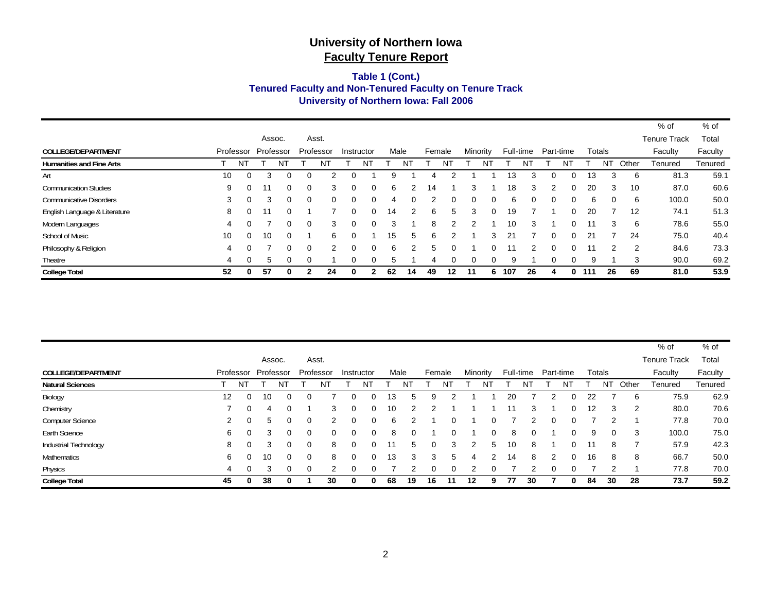#### **Tenured Faculty and Non-Tenured Faculty on Tenure Track Table 1 (Cont.) University of Northern Iowa: Fall 2006**

|                                 |           |          |           |   |          |           |   |            |      |    |        |          |          |    |           |    |           |          |     |          |       | % of                | % of    |
|---------------------------------|-----------|----------|-----------|---|----------|-----------|---|------------|------|----|--------|----------|----------|----|-----------|----|-----------|----------|-----|----------|-------|---------------------|---------|
|                                 |           |          | Assoc.    |   |          | Asst.     |   |            |      |    |        |          |          |    |           |    |           |          |     |          |       | <b>Tenure Track</b> | Total   |
| <b>COLLEGE/DEPARTMENT</b>       | Professor |          | Professor |   |          | Professor |   | Instructor | Male |    | Female |          | Minority |    | Full-time |    | Part-time |          |     | Totals   |       | Faculty             | Faculty |
| <b>Humanities and Fine Arts</b> |           | N.       |           | N |          | N1        |   | N          |      | N  |        | NT       |          | N1 |           | N  |           | NT       |     | NT       | Other | Tenured             | Tenured |
| Art                             | 10        | $\Omega$ | 3         | 0 |          |           |   |            | я    |    |        |          |          |    | 13        |    |           |          | 13  | 3        | 6     | 81.3                | 59.1    |
| <b>Communication Studies</b>    | 9         |          | 11        | 0 | $\Omega$ | 3         | 0 | $\Omega$   | 6    |    | 14     |          | 3        |    | 18        | 3  | 2         | $\Omega$ | 20  | 3        | 10    | 87.0                | 60.6    |
| <b>Communicative Disorders</b>  | 3         | $\Omega$ | 3         | 0 | $\Omega$ | $\Omega$  | 0 | $\Omega$   | 4    | 0  |        |          | 0        | 0  | 6         | 0  | $\Omega$  | 0        | 6   | $\Omega$ | 6     | 100.0               | 50.0    |
| English Language & Literature   | 8         |          | 11        | 0 |          |           | 0 | $\Omega$   | 14   | 2  | 6      | 5.       | 3        | 0  | 19        |    |           | 0        | 20  |          | 12    | 74.1                | 51.3    |
| Modern Languages                | 4         |          |           | 0 | $\Omega$ | 3         | 0 | 0          | 3    |    | 8      |          |          |    | 10        | 3  |           |          |     | 3        | 6     | 78.6                | 55.0    |
| School of Music                 | 10        | ∩        | 10        | 0 |          | 6         | 0 |            | 15   | 5  | 6      |          |          | 3  | 21        |    |           |          | 21  |          | 24    | 75.0                | 40.4    |
| Philosophy & Religion           | 4         | $\Omega$ |           | 0 | $\Omega$ | 2         | ი | $\Omega$   | 6    | 2  | 5      |          |          | 0  | 11        | 2  | $\Omega$  |          | 11  | 2        | 2     | 84.6                | 73.3    |
| Theatre                         | 4         | $\Omega$ | 5         | 0 | ∩        |           | 0 | 0          | 5    |    | 4      | $\Omega$ | 0        | 0  | 9         |    | ∩         |          | 9   |          | 3     | 90.0                | 69.2    |
| <b>College Total</b>            | 52        | 0        | 57        | 0 |          | 24        | 0 |            | 62   | 14 | 49     | 12       | 11       | 6  | 107       | 26 |           | 0        | 111 | 26       | 69    | 81.0                | 53.9    |

|                           |           |          |           |    |          |           |            |          |      |    |          |               |          |    |    |           |           |   |    |          |       | % of                | % of    |
|---------------------------|-----------|----------|-----------|----|----------|-----------|------------|----------|------|----|----------|---------------|----------|----|----|-----------|-----------|---|----|----------|-------|---------------------|---------|
|                           |           |          | Assoc.    |    |          | Asst.     |            |          |      |    |          |               |          |    |    |           |           |   |    |          |       | <b>Tenure Track</b> | Total   |
| <b>COLLEGE/DEPARTMENT</b> | Professor |          | Professor |    |          | Professor | Instructor |          | Male |    | Female   |               | Minority |    |    | Full-time | Part-time |   |    | Totals   |       | Faculty             | Faculty |
| <b>Natural Sciences</b>   |           | NT       |           | NT |          | NT        |            | NT       |      |    |          | N             |          | NT |    |           |           | N |    | NT       | Other | Tenured             | Tenured |
| Biology                   | 12        | $\Omega$ | 10        | 0  | 0        |           |            | $\Omega$ | 13   | 5  | 9        |               |          |    | 20 |           | 2         |   | 22 |          | 6     | 75.9                | 62.9    |
| Chemistry                 |           | $\Omega$ | 4         |    |          | 3         |            | 0        | 10   | 2  |          |               |          |    |    | 3         |           |   | 12 | 3        | 2     | 80.0                | 70.6    |
| <b>Computer Science</b>   | 2         | $\Omega$ | 5         | 0  | $\Omega$ |           |            | $\Omega$ | 6    |    |          |               |          | 0  |    | 2         | 0         |   |    | 2        |       | 77.8                | 70.0    |
| Earth Science             | 6         | $\Omega$ |           | 0  | 0        |           | O          | $\Omega$ | 8    | 0  |          |               |          | 0  | 8  |           |           |   | 9  | $\Omega$ | 3     | 100.0               | 75.0    |
| Industrial Technology     | 8         | $\Omega$ |           |    | 0        | 8         |            | 0        |      | 5  | $\Omega$ |               |          | 5  | 10 | 8         |           |   | 11 | 8        |       | 57.9                | 42.3    |
| Mathematics               | 6         | $\Omega$ | 10        | 0  | 0        | 8         |            | 0        | 13   | 3  | 3        | $\mathcal{L}$ | 4        | 2  | 14 | 8         | 2         |   | 16 | 8        | 8     | 66.7                | 50.0    |
| Physics                   | 4         | $\Omega$ |           |    | $\Omega$ |           |            | $\Omega$ |      | າ  | O        |               |          | 0  |    |           | $\Omega$  |   |    | າ        |       | 77.8                | 70.0    |
| <b>College Total</b>      | 45        | 0        | 38        |    |          | 30        | 0          | 0        | 68   | 19 | 16       | -11           | 12       | 9  | 77 | 30        |           |   | 84 | 30       | 28    | 73.7                | 59.2    |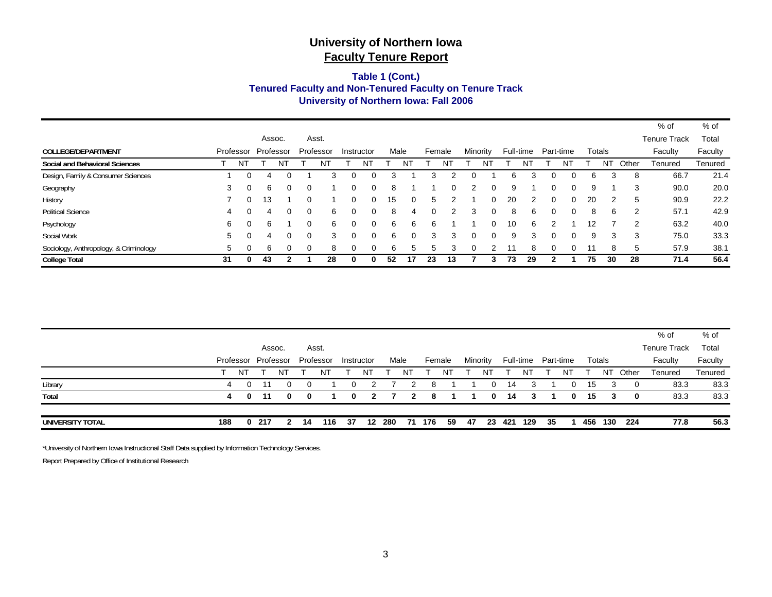#### **Tenured Faculty and Non-Tenured Faculty on Tenure Track University of Northern Iowa: Fall 2006 Table 1 (Cont.)**

|                                        |    |           |           |        |          |           |   |            |      |    |        |              |          |          |    |           |           |   |    |        |       | % of                | % of    |
|----------------------------------------|----|-----------|-----------|--------|----------|-----------|---|------------|------|----|--------|--------------|----------|----------|----|-----------|-----------|---|----|--------|-------|---------------------|---------|
|                                        |    |           |           | Assoc. |          | Asst.     |   |            |      |    |        |              |          |          |    |           |           |   |    |        |       | <b>Tenure Track</b> | Total   |
| COLLEGE/DEPARTMENT                     |    | Professor | Professor |        |          | Professor |   | Instructor | Male |    | Female |              | Minority |          |    | Full-time | Part-time |   |    | Totals |       | Faculty             | Faculty |
| Social and Behavioral Sciences         |    | -N1       |           | N      |          | N         |   | N          |      |    |        |              |          | N        |    |           |           |   |    | N1     | Other | Tenured             | Tenured |
| Design, Family & Consumer Sciences     |    | 0         | 4         |        |          | з         | 0 |            |      |    |        |              |          |          | ิค |           |           |   | 6  | 3      | 8     | 66.7                | 21.4    |
| Geography                              | 3  | $\Omega$  | 6         | 0      | $\Omega$ |           | 0 | $\Omega$   | 8    |    |        | <sup>0</sup> |          | $\Omega$ | g  |           |           | 0 | 9  |        | 3     | 90.0                | 20.0    |
| History                                |    | $\Omega$  | 13        |        | ∩        |           | o | 0          | 15   | 0  | 5      |              |          | 0        | 20 |           | $\Omega$  |   | 20 | 2      | 5     | 90.9                | 22.2    |
| <b>Political Science</b>               | 4  |           | 4         | 0      | $\Omega$ | 6         | 0 | $\Omega$   | 8    | 4  |        |              |          |          | 8  | 6         | ∩         |   | 8  | 6      | 2     | 57.1                | 42.9    |
| Psychology                             | 6  |           | 6         |        |          | 6         | 0 | ∩          | 6    | 6  | 6      |              |          | $\Omega$ | 10 | 6         |           |   | 12 |        | 2     | 63.2                | 40.0    |
| Social Work                            | 5  |           | 4         |        | $\Omega$ | 3         | o | 0          | 6    | 0  | 3      | з            | 0        | 0        | 9  |           | ∩         |   | 9  | 3      | 3     | 75.0                | 33.3    |
| Sociology, Anthropology, & Criminology | 5  |           | 6         |        |          | 8         |   | 0          | 6    | 5  |        |              |          |          | 11 | 8         |           |   |    | 8      | 5     | 57.9                | 38.1    |
| <b>College Total</b>                   | 31 | 0         | 43        |        |          | 28        | 0 | 0          | 52   | 17 | 23     | 13           |          |          | 73 | 29        |           |   | 75 | 30     | 28    | 71.4                | 56.4    |

|                  |     |          |       |                     |    |           |            |    |        |    |        |      |          |              |            |    |                     |    |        |         |       | % of                | % of    |
|------------------|-----|----------|-------|---------------------|----|-----------|------------|----|--------|----|--------|------|----------|--------------|------------|----|---------------------|----|--------|---------|-------|---------------------|---------|
|                  |     |          |       | Assoc.              |    | Asst.     |            |    |        |    |        |      |          |              |            |    |                     |    |        |         |       | <b>Tenure Track</b> | Total   |
|                  |     |          |       | Professor Professor |    | Professor | Instructor |    | Male   |    | Female |      | Minority |              |            |    | Full-time Part-time |    | Totals |         |       | Faculty             | Faculty |
|                  |     | NT       |       | NT                  |    | ΝI        |            | NT |        | N٦ |        | N1   |          | NT           |            | NT |                     | NT |        | N1      | Other | Tenured             | Tenured |
| Library          |     | $\Omega$ | 11    | $\Omega$            |    |           |            |    |        | 2  | 8      |      |          | $\mathbf{0}$ | 14         | 3  |                     | 0  | 15     | 3       | -0    | 83.3                | 83.3    |
| Total            | 4   | 0        | -11   | 0                   | 0  |           | 0          | 2  |        | 2  | 8      |      |          | $\bf{0}$     | 14         | 3  |                     | 0  | 15     | 3       | 0     | 83.3                | 83.3    |
|                  |     |          |       |                     |    |           |            |    |        |    |        |      |          |              |            |    |                     |    |        |         |       |                     |         |
| UNIVERSITY TOTAL | 188 |          | 0 217 | $\mathbf{2}$        | 14 | 116       | - 37       |    | 12 280 | 71 | 176    | - 59 | -47      |              | 23 421 129 |    | -35                 |    |        | 456 130 | - 224 | 77.8                | 56.3    |

\*University of Northern Iowa Instructional Staff Data supplied by Information Technology Services.

Report Prepared by Office of Institutional Research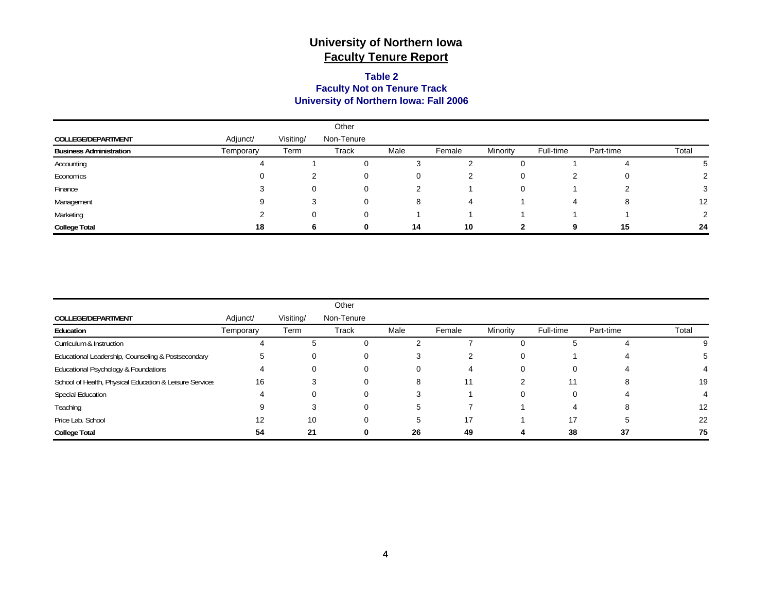#### **University of Northern Iowa: Fall 2006 Faculty Not on Tenure Track Table 2**

|                                |           |           | Other      |      |        |          |           |           |       |
|--------------------------------|-----------|-----------|------------|------|--------|----------|-----------|-----------|-------|
| COLLEGE/DEPARTMENT             | Adjunct/  | Visiting/ | Non-Tenure |      |        |          |           |           |       |
| <b>Business Administration</b> | Temporary | Term      | Track      | Male | Female | Minority | Full-time | Part-time | Total |
| Accounting                     |           |           | 0          | 3    |        |          |           |           |       |
| Economics                      |           |           | 0          | 0    |        |          | ົ<br>∠    | 0         |       |
| Finance                        |           |           | $\Omega$   |      |        |          |           |           |       |
| Management                     | 9         |           | $\Omega$   | 8    | 4      |          | 4         | o         | 12    |
| Marketing                      |           |           | 0          |      |        |          |           |           |       |
| <b>College Total</b>           | 18        |           | 0          | 14   | 10     |          | 9         | 15        | 24    |

|                                                         |           |              | Other      |      |        |          |           |           |       |
|---------------------------------------------------------|-----------|--------------|------------|------|--------|----------|-----------|-----------|-------|
| COLLEGE/DEPARTMENT                                      | Adjunct/  | Visiting/    | Non-Tenure |      |        |          |           |           |       |
| Education                                               | Temporary | Term         | Track      | Male | Female | Minority | Full-time | Part-time | Total |
| Curriculum & Instruction                                |           | $\mathbf{p}$ | $\Omega$   |      |        | 0        | 5         |           |       |
| Educational Leadership, Counseling & Postsecondary      |           |              | 0          |      |        | 0        |           |           |       |
| Educational Psychology & Foundations                    |           |              |            |      |        | 0        | 0         |           |       |
| School of Health, Physical Education & Leisure Services | 16        |              | 0          | 8    | 11     | າ        | 11        | 8         | 19    |
| <b>Special Education</b>                                |           |              |            | 3    |        | 0        | 0         |           |       |
| Teaching                                                |           |              |            | 5    |        |          | 4         |           | 12    |
| Price Lab. School                                       |           | 10           |            | 5    | 17     |          | 17        |           | 22    |
| <b>College Total</b>                                    | 54        | 21           |            | 26   | 49     |          | 38        | 37        | 75    |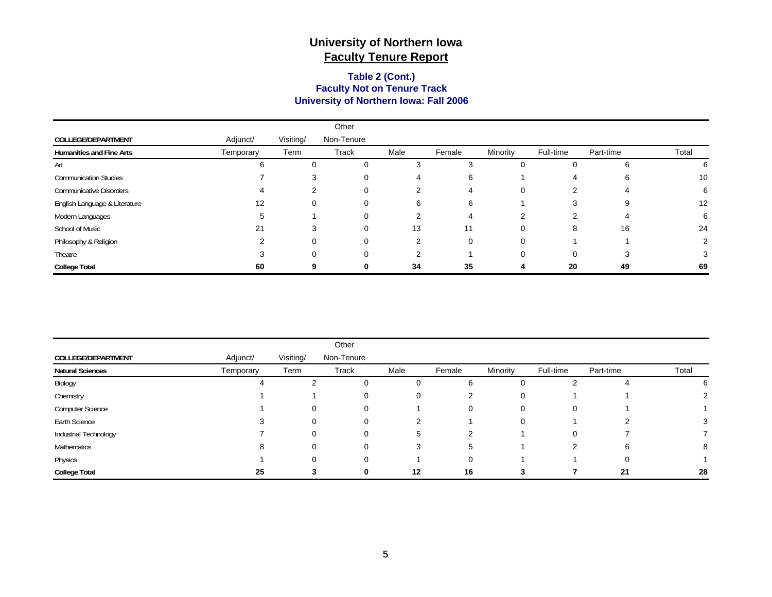#### **University of Northern Iowa: Fall 2006 Faculty Not on Tenure Track Table 2 (Cont.)**

|                                 |                   |           | Other      |      |        |          |           |           |       |
|---------------------------------|-------------------|-----------|------------|------|--------|----------|-----------|-----------|-------|
| <b>COLLEGE/DEPARTMENT</b>       | Adjunct/          | Visiting/ | Non-Tenure |      |        |          |           |           |       |
| <b>Humanities and Fine Arts</b> | Temporary         | Term      | Track      | Male | Female | Minority | Full-time | Part-time | Total |
| Art                             |                   |           | 0          | 3    |        | 0        | 0         |           | 6     |
| <b>Communication Studies</b>    |                   |           |            |      | 6      |          | 4         |           | 10    |
| <b>Communicative Disorders</b>  |                   |           | 0          | 2    |        | 0        | っ         |           | 6     |
| English Language & Literature   | $12 \overline{ }$ |           |            | 6    | 6      |          | 3         |           | 12    |
| Modern Languages                |                   |           |            |      | 4      |          |           |           | 6     |
| School of Music                 | 21                | 3         | $\Omega$   | 13   | 11     | 0        | 8         | 16        | 24    |
| Philosophy & Religion           |                   |           | ∩          | 2    | 0      | 0        |           |           |       |
| Theatre                         |                   |           |            |      |        |          | 0         |           |       |
| <b>College Total</b>            | 60                |           |            | 34   | 35     |          | 20        | 49        | 69    |

|                         |           |           | Other      |      |        |          |           |           |       |
|-------------------------|-----------|-----------|------------|------|--------|----------|-----------|-----------|-------|
| COLLEGE/DEPARTMENT      | Adjunct/  | Visiting/ | Non-Tenure |      |        |          |           |           |       |
| <b>Natural Sciences</b> | Temporary | Term      | Track      | Male | Female | Minority | Full-time | Part-time | Total |
| Biology                 |           |           | $\Omega$   | 0    | 6      | 0        |           |           |       |
| Chemistry               |           |           | 0          | 0    |        | 0        |           |           |       |
| <b>Computer Science</b> |           | 0         | $\Omega$   |      |        | 0        | 0         |           |       |
| Earth Science           |           | 0         | 0          | 2    |        | 0        |           |           |       |
| Industrial Technology   |           | 0         | 0          | 5    | ົ      |          | 0         |           |       |
| Mathematics             |           | $\Omega$  | $\Omega$   | 3    | 5      |          | 2         | 6         |       |
| Physics                 |           | 0         | $\Omega$   |      |        |          |           | 0         |       |
| <b>College Total</b>    | 25        |           | 0          | 12   | 16     | 3        |           | 21        | 28    |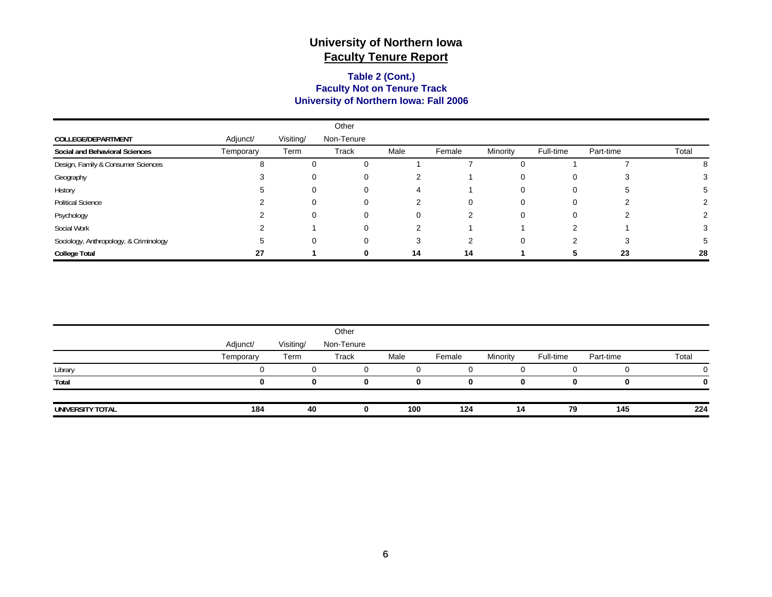#### **University of Northern Iowa: Fall 2006 Faculty Not on Tenure Track Table 2 (Cont.)**

|                                        |           |           | Other      |      |        |              |           |           |       |
|----------------------------------------|-----------|-----------|------------|------|--------|--------------|-----------|-----------|-------|
| <b>COLLEGE/DEPARTMENT</b>              | Adjunct/  | Visiting/ | Non-Tenure |      |        |              |           |           |       |
| Social and Behavioral Sciences         | Temporary | Term      | Track      | Male | Female | Minority     | Full-time | Part-time | Total |
| Design, Family & Consumer Sciences     |           | 0         | 0          |      |        |              |           |           | 8     |
| Geography                              |           | 0         | 0          |      |        | O            | O         |           |       |
| History                                |           | 0         | $\Omega$   |      |        | $\mathbf{0}$ | 0         |           |       |
| <b>Political Science</b>               |           | 0         |            | ົ    | 0      | 0            | 0         |           |       |
| Psychology                             |           | 0         | 0          |      |        |              | 0         |           |       |
| Social Work                            |           |           | $\Omega$   | ົ    |        |              | ⌒         |           |       |
| Sociology, Anthropology, & Criminology |           | 0         | 0          | 3    | ົ      |              | ⌒         |           |       |
| <b>College Total</b>                   | 27        |           | $\Omega$   | 14   | 14     |              |           | 23        | 28    |

|                  |           |           | Other      |      |        |          |           |           |       |
|------------------|-----------|-----------|------------|------|--------|----------|-----------|-----------|-------|
|                  | Adjunct/  | Visiting/ | Non-Tenure |      |        |          |           |           |       |
|                  | Temporary | Term      | Track      | Male | Female | Minority | Full-time | Part-time | Total |
| Library          |           |           |            |      |        |          |           |           |       |
| Total            |           | o         | 0          |      |        |          | 0         |           | 0     |
| UNIVERSITY TOTAL | 184       | 40        |            | 100  | 124    | 14       | 79        | 145       | 224   |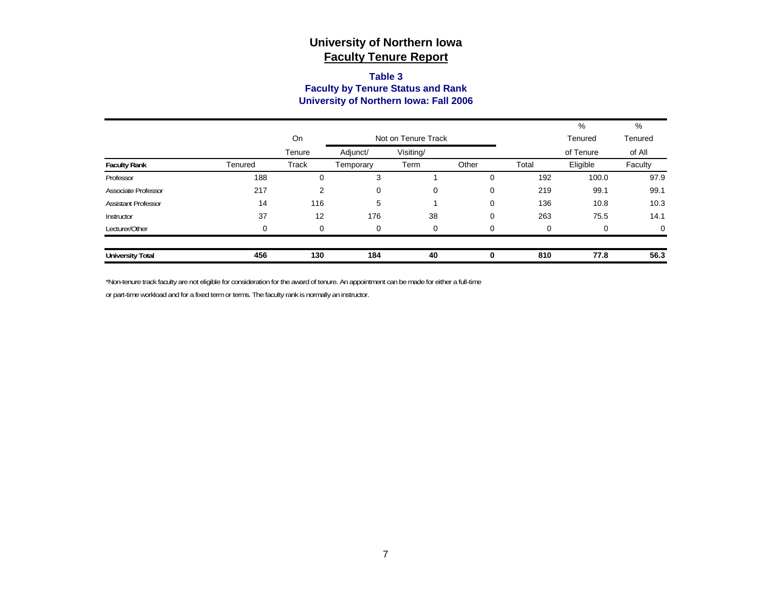#### **Table 3 Faculty by Tenure Status and Rank University of Northern Iowa: Fall 2006**

|                            |         |        |                     |           |          |          | %         | %        |  |
|----------------------------|---------|--------|---------------------|-----------|----------|----------|-----------|----------|--|
|                            |         | On     | Not on Tenure Track |           |          |          | Tenured   | Tenured  |  |
|                            |         | Tenure | Adjunct/            | Visiting/ |          |          | of Tenure | of All   |  |
| <b>Faculty Rank</b>        | Tenured | Track  | Temporary           | Term      | Other    | Total    | Eligible  | Faculty  |  |
| Professor                  | 188     | 0      | 3                   |           | 0        | 192      | 100.0     | 97.9     |  |
| <b>Associate Professor</b> | 217     | 2      | 0                   | 0         | 0        | 219      | 99.1      | 99.1     |  |
| <b>Assistant Professor</b> | 14      | 116    | 5                   |           | 0        | 136      | 10.8      | 10.3     |  |
| Instructor                 | 37      | 12     | 176                 | 38        | 0        | 263      | 75.5      | 14.1     |  |
| Lecturer/Other             | 0       | 0      | 0                   | 0         | $\Omega$ | $\Omega$ | 0         | $\Omega$ |  |
| <b>University Total</b>    | 456     | 130    | 184                 | 40        | 0        | 810      | 77.8      | 56.3     |  |

\*Non-tenure track faculty are not eligible for consideration for the award of tenure. An appointment can be made for either a full-time

or part-time workload and for a fixed term or terms. The faculty rank is normally an instructor.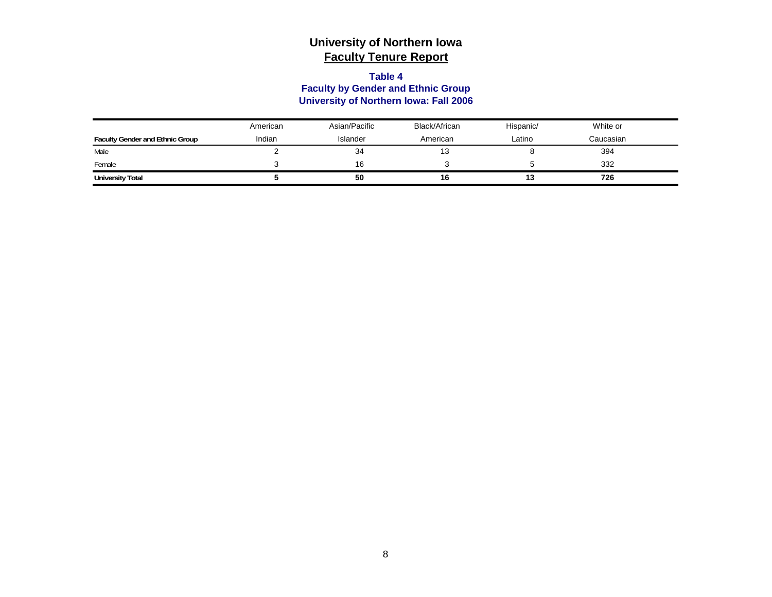#### **Table 4**

### **Faculty by Gender and Ethnic Group University of Northern Iowa: Fall 2006**

|                                        | American | Asian/Pacific | Black/African | Hispanic/ | White or  |  |
|----------------------------------------|----------|---------------|---------------|-----------|-----------|--|
| <b>Faculty Gender and Ethnic Group</b> | Indian   | Islander      | American      | Latino    | Caucasian |  |
| Male                                   |          | 34            | ں ا           |           | 394       |  |
| Female                                 |          | 16            |               |           | 332       |  |
| <b>University Total</b>                |          | 50            | 16            | 13        | 726       |  |